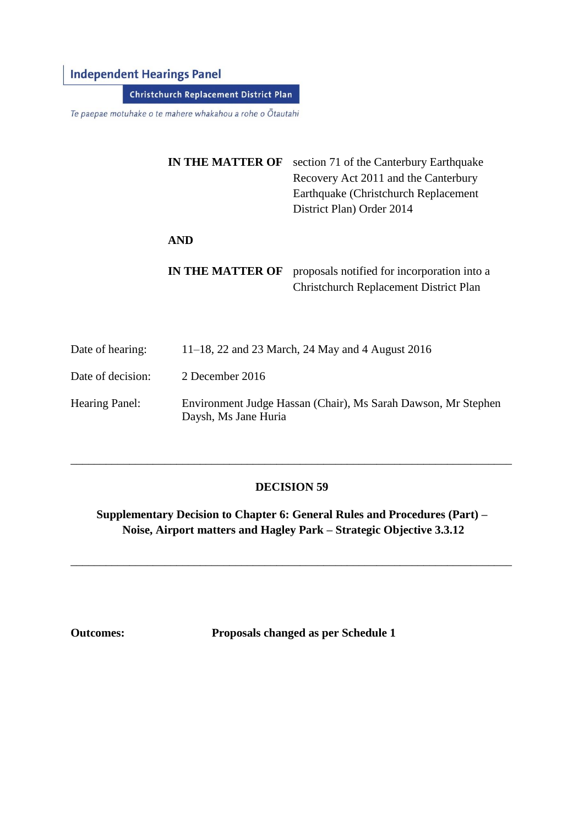# **Independent Hearings Panel**

**Christchurch Replacement District Plan** 

Te paepae motuhake o te mahere whakahou a rohe o Ōtautahi

| <b>IN THE MATTER OF</b> | section 71 of the Canterbury Earthquake<br>Recovery Act 2011 and the Canterbury<br>Earthquake (Christchurch Replacement<br>District Plan) Order 2014 |
|-------------------------|------------------------------------------------------------------------------------------------------------------------------------------------------|
| <b>AND</b>              |                                                                                                                                                      |
| <b>IN THE MATTER OF</b> | proposals notified for incorporation into a<br>Christchurch Replacement District Plan                                                                |

- Date of hearing: 11–18, 22 and 23 March, 24 May and 4 August 2016
- Date of decision: 2 December 2016
- Hearing Panel: Environment Judge Hassan (Chair), Ms Sarah Dawson, Mr Stephen Daysh, Ms Jane Huria

## **DECISION 59**

\_\_\_\_\_\_\_\_\_\_\_\_\_\_\_\_\_\_\_\_\_\_\_\_\_\_\_\_\_\_\_\_\_\_\_\_\_\_\_\_\_\_\_\_\_\_\_\_\_\_\_\_\_\_\_\_\_\_\_\_\_\_\_\_\_\_\_\_\_\_\_\_\_\_\_

**Supplementary Decision to Chapter 6: General Rules and Procedures (Part) – Noise, Airport matters and Hagley Park – Strategic Objective 3.3.12**

\_\_\_\_\_\_\_\_\_\_\_\_\_\_\_\_\_\_\_\_\_\_\_\_\_\_\_\_\_\_\_\_\_\_\_\_\_\_\_\_\_\_\_\_\_\_\_\_\_\_\_\_\_\_\_\_\_\_\_\_\_\_\_\_\_\_\_\_\_\_\_\_\_\_\_

**Outcomes: Proposals changed as per Schedule 1**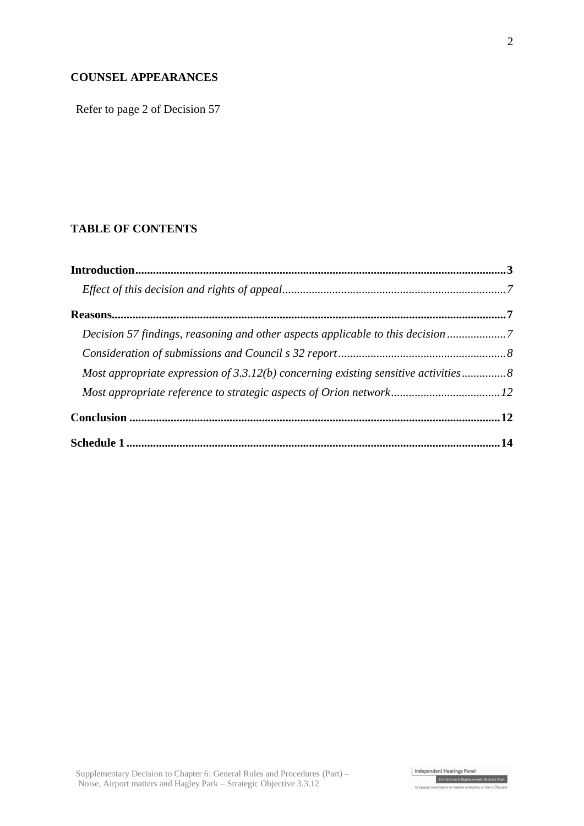## **COUNSEL APPEARANCES**

Refer to page 2 of Decision 57

## **TABLE OF CONTENTS**

| Decision 57 findings, reasoning and other aspects applicable to this decision7       |  |
|--------------------------------------------------------------------------------------|--|
|                                                                                      |  |
| Most appropriate expression of $3.3.12(b)$ concerning existing sensitive activities8 |  |
|                                                                                      |  |
|                                                                                      |  |
|                                                                                      |  |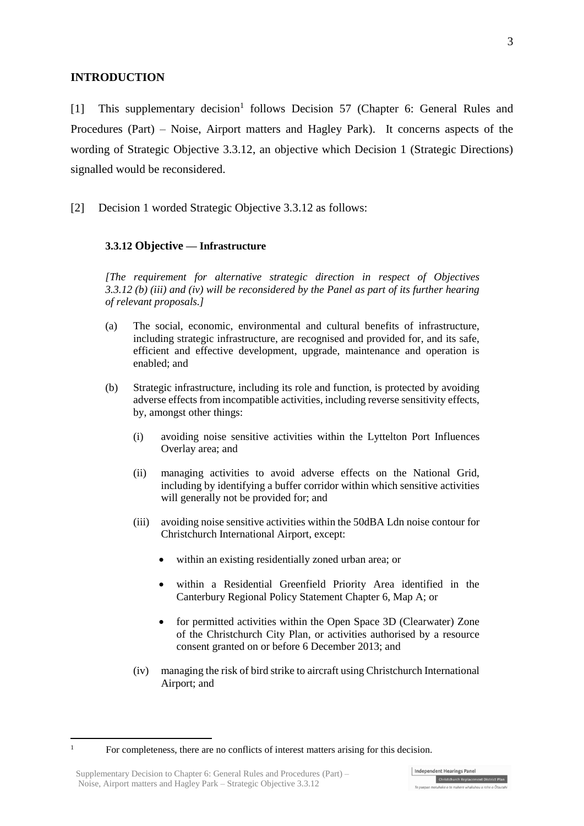### **INTRODUCTION**

[1] This supplementary decision<sup>1</sup> follows Decision 57 (Chapter 6: General Rules and Procedures (Part) – Noise, Airport matters and Hagley Park). It concerns aspects of the wording of Strategic Objective 3.3.12, an objective which Decision 1 (Strategic Directions) signalled would be reconsidered.

[2] Decision 1 worded Strategic Objective 3.3.12 as follows:

### **3.3.12 Objective — Infrastructure**

*[The requirement for alternative strategic direction in respect of Objectives 3.3.12 (b) (iii) and (iv) will be reconsidered by the Panel as part of its further hearing of relevant proposals.]*

- (a) The social, economic, environmental and cultural benefits of infrastructure, including strategic infrastructure, are recognised and provided for, and its safe, efficient and effective development, upgrade, maintenance and operation is enabled; and
- (b) Strategic infrastructure, including its role and function, is protected by avoiding adverse effects from incompatible activities, including reverse sensitivity effects, by, amongst other things:
	- (i) avoiding noise sensitive activities within the Lyttelton Port Influences Overlay area; and
	- (ii) managing activities to avoid adverse effects on the National Grid, including by identifying a buffer corridor within which sensitive activities will generally not be provided for; and
	- (iii) avoiding noise sensitive activities within the 50dBA Ldn noise contour for Christchurch International Airport, except:
		- within an existing residentially zoned urban area; or
		- within a Residential Greenfield Priority Area identified in the Canterbury Regional Policy Statement Chapter 6, Map A; or
		- for permitted activities within the Open Space 3D (Clearwater) Zone of the Christchurch City Plan, or activities authorised by a resource consent granted on or before 6 December 2013; and
	- (iv) managing the risk of bird strike to aircraft using Christchurch International Airport; and

 $\mathbf{1}$ 

<sup>1</sup> For completeness, there are no conflicts of interest matters arising for this decision.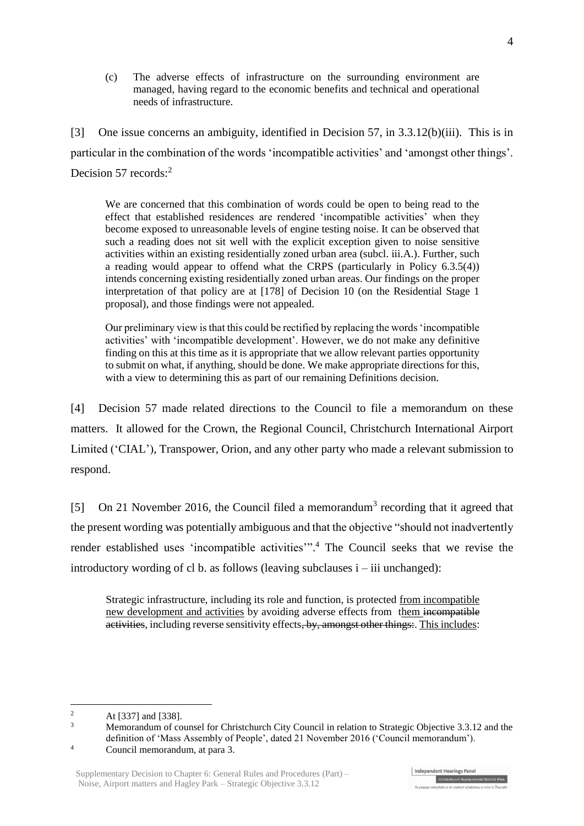(c) The adverse effects of infrastructure on the surrounding environment are managed, having regard to the economic benefits and technical and operational needs of infrastructure.

[3] One issue concerns an ambiguity, identified in Decision 57, in 3.3.12(b)(iii). This is in particular in the combination of the words 'incompatible activities' and 'amongst other things'. Decision 57 records:<sup>2</sup>

We are concerned that this combination of words could be open to being read to the effect that established residences are rendered 'incompatible activities' when they become exposed to unreasonable levels of engine testing noise. It can be observed that such a reading does not sit well with the explicit exception given to noise sensitive activities within an existing residentially zoned urban area (subcl. iii.A.). Further, such a reading would appear to offend what the CRPS (particularly in Policy 6.3.5(4)) intends concerning existing residentially zoned urban areas. Our findings on the proper interpretation of that policy are at [178] of Decision 10 (on the Residential Stage 1 proposal), and those findings were not appealed.

Our preliminary view is that this could be rectified by replacing the words 'incompatible activities' with 'incompatible development'. However, we do not make any definitive finding on this at this time as it is appropriate that we allow relevant parties opportunity to submit on what, if anything, should be done. We make appropriate directions for this, with a view to determining this as part of our remaining Definitions decision.

[4] Decision 57 made related directions to the Council to file a memorandum on these matters. It allowed for the Crown, the Regional Council, Christchurch International Airport Limited ('CIAL'), Transpower, Orion, and any other party who made a relevant submission to respond.

[5] On 21 November 2016, the Council filed a memorandum<sup>3</sup> recording that it agreed that the present wording was potentially ambiguous and that the objective "should not inadvertently render established uses 'incompatible activities'". <sup>4</sup> The Council seeks that we revise the introductory wording of cl b. as follows (leaving subclauses i – iii unchanged):

Strategic infrastructure, including its role and function, is protected from incompatible new development and activities by avoiding adverse effects from them incompatible activities, including reverse sensitivity effects, by, amongst other things:. This includes:

 $\overline{2}$ <sup>2</sup> At [337] and [338].

<sup>3</sup> Memorandum of counsel for Christchurch City Council in relation to Strategic Objective 3.3.12 and the definition of 'Mass Assembly of People', dated 21 November 2016 ('Council memorandum').

<sup>4</sup> Council memorandum, at para 3.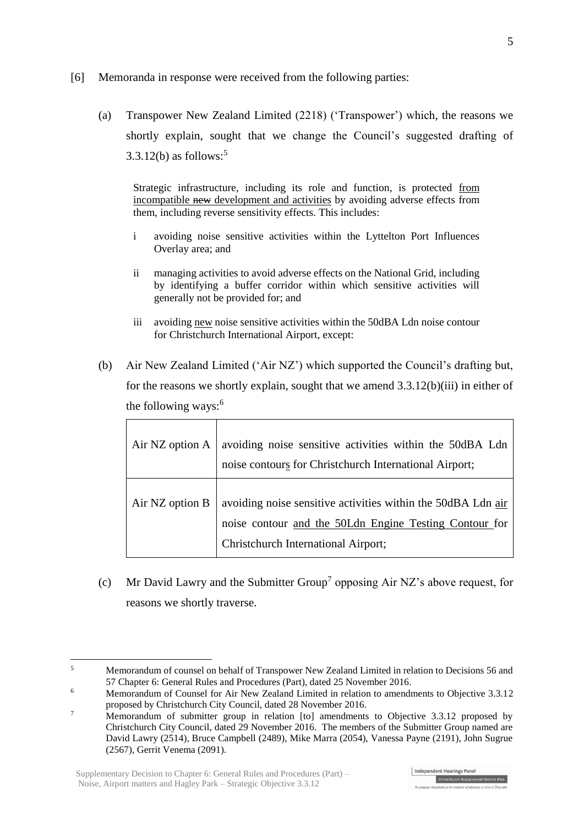- [6] Memoranda in response were received from the following parties:
	- (a) Transpower New Zealand Limited (2218) ('Transpower') which, the reasons we shortly explain, sought that we change the Council's suggested drafting of  $3.3.12(b)$  as follows:<sup>5</sup>

Strategic infrastructure, including its role and function, is protected from incompatible new development and activities by avoiding adverse effects from them, including reverse sensitivity effects. This includes:

- i avoiding noise sensitive activities within the Lyttelton Port Influences Overlay area; and
- ii managing activities to avoid adverse effects on the National Grid, including by identifying a buffer corridor within which sensitive activities will generally not be provided for; and
- iii avoiding new noise sensitive activities within the 50dBA Ldn noise contour for Christchurch International Airport, except:
- (b) Air New Zealand Limited ('Air NZ') which supported the Council's drafting but, for the reasons we shortly explain, sought that we amend 3.3.12(b)(iii) in either of the following ways:<sup>6</sup>

| Air NZ option $A$ | avoiding noise sensitive activities within the 50dBA Ldn<br>noise contours for Christchurch International Airport;                                            |
|-------------------|---------------------------------------------------------------------------------------------------------------------------------------------------------------|
| Air NZ option B   | avoiding noise sensitive activities within the 50dBA Ldn air<br>noise contour and the 50Ldn Engine Testing Contour for<br>Christchurch International Airport; |

(c) Mr David Lawry and the Submitter Group<sup>7</sup> opposing Air NZ's above request, for reasons we shortly traverse.

<sup>1</sup> <sup>5</sup> Memorandum of counsel on behalf of Transpower New Zealand Limited in relation to Decisions 56 and 57 Chapter 6: General Rules and Procedures (Part), dated 25 November 2016.

<sup>&</sup>lt;sup>6</sup> Memorandum of Counsel for Air New Zealand Limited in relation to amendments to Objective 3.3.12 proposed by Christchurch City Council, dated 28 November 2016.

<sup>&</sup>lt;sup>7</sup> Memorandum of submitter group in relation [to] amendments to Objective 3.3.12 proposed by Christchurch City Council, dated 29 November 2016. The members of the Submitter Group named are David Lawry (2514), Bruce Campbell (2489), Mike Marra (2054), Vanessa Payne (2191), John Sugrue (2567), Gerrit Venema (2091).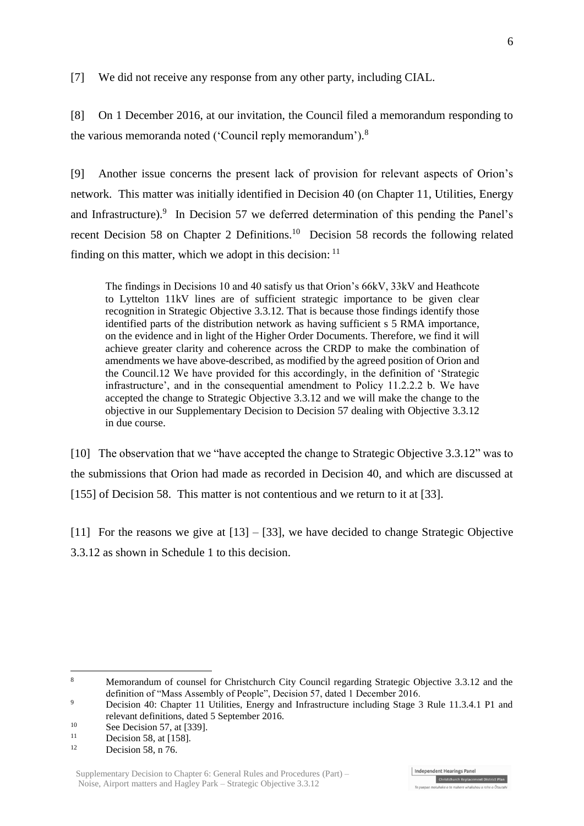[7] We did not receive any response from any other party, including CIAL.

[8] On 1 December 2016, at our invitation, the Council filed a memorandum responding to the various memoranda noted ('Council reply memorandum'). 8

[9] Another issue concerns the present lack of provision for relevant aspects of Orion's network. This matter was initially identified in Decision 40 (on Chapter 11, Utilities, Energy and Infrastructure).<sup>9</sup> In Decision 57 we deferred determination of this pending the Panel's recent Decision 58 on Chapter 2 Definitions.<sup>10</sup> Decision 58 records the following related finding on this matter, which we adopt in this decision:  $11$ 

The findings in Decisions 10 and 40 satisfy us that Orion's 66kV, 33kV and Heathcote to Lyttelton 11kV lines are of sufficient strategic importance to be given clear recognition in Strategic Objective 3.3.12. That is because those findings identify those identified parts of the distribution network as having sufficient s 5 RMA importance, on the evidence and in light of the Higher Order Documents. Therefore, we find it will achieve greater clarity and coherence across the CRDP to make the combination of amendments we have above-described, as modified by the agreed position of Orion and the Council.12 We have provided for this accordingly, in the definition of 'Strategic infrastructure', and in the consequential amendment to Policy 11.2.2.2 b. We have accepted the change to Strategic Objective 3.3.12 and we will make the change to the objective in our Supplementary Decision to Decision 57 dealing with Objective 3.3.12 in due course.

[10] The observation that we "have accepted the change to Strategic Objective 3.3.12" was to the submissions that Orion had made as recorded in Decision 40, and which are discussed at [155] of Decision 58. This matter is not contentious and we return to it at [33].

[11] For the reasons we give at  $[13] - [33]$ , we have decided to change Strategic Objective 3.3.12 as shown in Schedule 1 to this decision.

1

<sup>8</sup> Memorandum of counsel for Christchurch City Council regarding Strategic Objective 3.3.12 and the definition of "Mass Assembly of People", Decision 57, dated 1 December 2016.

<sup>&</sup>lt;sup>9</sup> Decision 40: Chapter 11 Utilities, Energy and Infrastructure including Stage 3 Rule 11.3.4.1 P1 and relevant definitions, dated 5 September 2016.

 $\frac{10}{11}$  See Decision 57, at [339].

<sup>&</sup>lt;sup>11</sup> Decision 58, at [158].

Decision 58, n 76.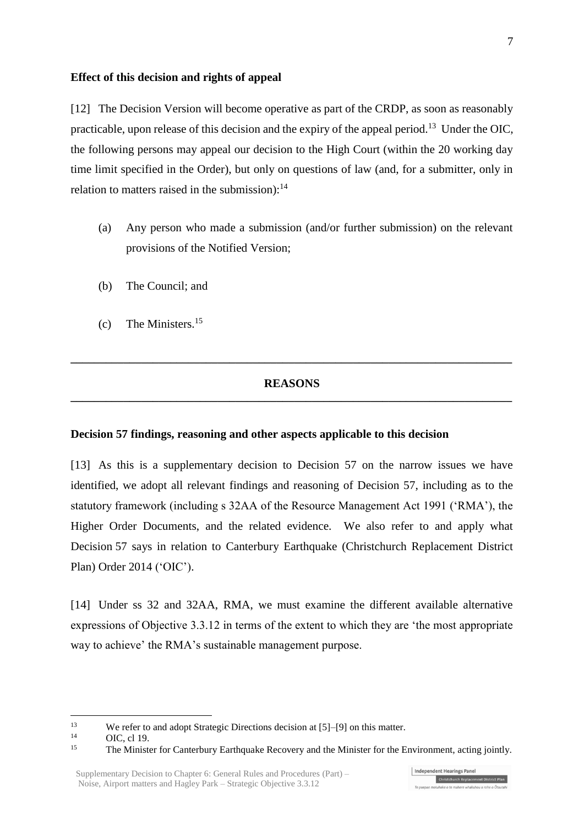#### **Effect of this decision and rights of appeal**

[12] The Decision Version will become operative as part of the CRDP, as soon as reasonably practicable, upon release of this decision and the expiry of the appeal period.<sup>13</sup> Under the OIC, the following persons may appeal our decision to the High Court (within the 20 working day time limit specified in the Order), but only on questions of law (and, for a submitter, only in relation to matters raised in the submission): $^{14}$ 

- (a) Any person who made a submission (and/or further submission) on the relevant provisions of the Notified Version;
- (b) The Council; and
- (c) The Ministers.<sup>15</sup>

### **REASONS \_\_\_\_\_\_\_\_\_\_\_\_\_\_\_\_\_\_\_\_\_\_\_\_\_\_\_\_\_\_\_\_\_\_\_\_\_\_\_\_\_\_\_\_\_\_\_\_\_\_\_\_\_\_\_\_\_\_\_\_\_\_\_\_\_\_\_\_\_\_\_\_\_\_\_**

**\_\_\_\_\_\_\_\_\_\_\_\_\_\_\_\_\_\_\_\_\_\_\_\_\_\_\_\_\_\_\_\_\_\_\_\_\_\_\_\_\_\_\_\_\_\_\_\_\_\_\_\_\_\_\_\_\_\_\_\_\_\_\_\_\_\_\_\_\_\_\_\_\_\_\_**

#### **Decision 57 findings, reasoning and other aspects applicable to this decision**

[13] As this is a supplementary decision to Decision 57 on the narrow issues we have identified, we adopt all relevant findings and reasoning of Decision 57, including as to the statutory framework (including s 32AA of the Resource Management Act 1991 ('RMA'), the Higher Order Documents, and the related evidence. We also refer to and apply what Decision 57 says in relation to [Canterbury Earthquake \(Christchurch Replacement District](http://www.legislation.govt.nz/regulation/public/2014/0228/latest/DLM6190883.html?search=ts_act%40bill%40regulation%40deemedreg_Canterbury+Earthquake+%28Christchurch+Replacement+District+Plan%29+Order+2014+_resel_25_a&p=1)  [Plan\) Order 2014](http://www.legislation.govt.nz/regulation/public/2014/0228/latest/DLM6190883.html?search=ts_act%40bill%40regulation%40deemedreg_Canterbury+Earthquake+%28Christchurch+Replacement+District+Plan%29+Order+2014+_resel_25_a&p=1) ('OIC').

[14] Under ss 32 and 32AA, RMA, we must examine the different available alternative expressions of Objective 3.3.12 in terms of the extent to which they are 'the most appropriate way to achieve' the RMA's sustainable management purpose.

 $\frac{14}{15}$  OIC, cl 19.

 $13$ <sup>13</sup> We refer to and adopt Strategic Directions decision at  $[5]$ – $[9]$  on this matter.

<sup>15</sup> The Minister for Canterbury Earthquake Recovery and the Minister for the Environment, acting jointly.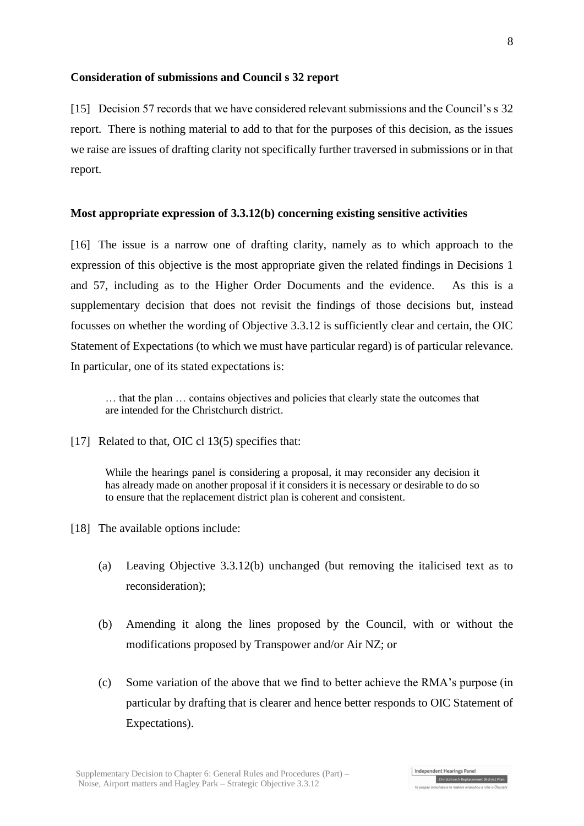### **Consideration of submissions and Council s 32 report**

[15] Decision 57 records that we have considered relevant submissions and the Council's s 32 report. There is nothing material to add to that for the purposes of this decision, as the issues we raise are issues of drafting clarity not specifically further traversed in submissions or in that report.

### **Most appropriate expression of 3.3.12(b) concerning existing sensitive activities**

[16] The issue is a narrow one of drafting clarity, namely as to which approach to the expression of this objective is the most appropriate given the related findings in Decisions 1 and 57, including as to the Higher Order Documents and the evidence. As this is a supplementary decision that does not revisit the findings of those decisions but, instead focusses on whether the wording of Objective 3.3.12 is sufficiently clear and certain, the OIC Statement of Expectations (to which we must have particular regard) is of particular relevance. In particular, one of its stated expectations is:

… that the plan … contains objectives and policies that clearly state the outcomes that are intended for the Christchurch district.

[17] Related to that, OIC cl 13(5) specifies that:

While the hearings panel is considering a proposal, it may reconsider any decision it has already made on another proposal if it considers it is necessary or desirable to do so to ensure that the replacement district plan is coherent and consistent.

- [18] The available options include:
	- (a) Leaving Objective 3.3.12(b) unchanged (but removing the italicised text as to reconsideration);
	- (b) Amending it along the lines proposed by the Council, with or without the modifications proposed by Transpower and/or Air NZ; or
	- (c) Some variation of the above that we find to better achieve the RMA's purpose (in particular by drafting that is clearer and hence better responds to OIC Statement of Expectations).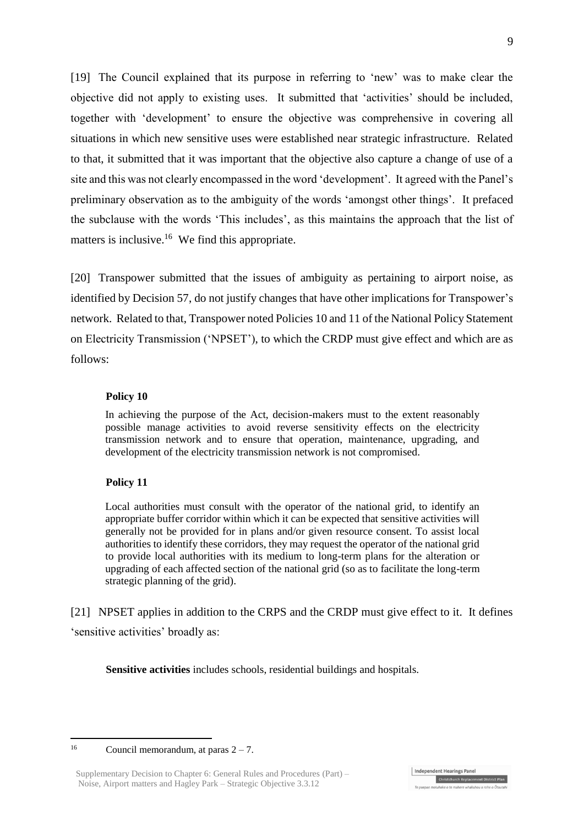[19] The Council explained that its purpose in referring to 'new' was to make clear the objective did not apply to existing uses. It submitted that 'activities' should be included, together with 'development' to ensure the objective was comprehensive in covering all situations in which new sensitive uses were established near strategic infrastructure. Related to that, it submitted that it was important that the objective also capture a change of use of a site and this was not clearly encompassed in the word 'development'. It agreed with the Panel's preliminary observation as to the ambiguity of the words 'amongst other things'. It prefaced the subclause with the words 'This includes', as this maintains the approach that the list of matters is inclusive.<sup>16</sup> We find this appropriate.

[20] Transpower submitted that the issues of ambiguity as pertaining to airport noise, as identified by Decision 57, do not justify changes that have other implications for Transpower's network. Related to that, Transpower noted Policies 10 and 11 of the National Policy Statement on Electricity Transmission ('NPSET'), to which the CRDP must give effect and which are as follows:

#### **Policy 10**

In achieving the purpose of the Act, decision-makers must to the extent reasonably possible manage activities to avoid reverse sensitivity effects on the electricity transmission network and to ensure that operation, maintenance, upgrading, and development of the electricity transmission network is not compromised.

### **Policy 11**

Local authorities must consult with the operator of the national grid, to identify an appropriate buffer corridor within which it can be expected that sensitive activities will generally not be provided for in plans and/or given resource consent. To assist local authorities to identify these corridors, they may request the operator of the national grid to provide local authorities with its medium to long-term plans for the alteration or upgrading of each affected section of the national grid (so as to facilitate the long-term strategic planning of the grid).

[21] NPSET applies in addition to the CRPS and the CRDP must give effect to it. It defines 'sensitive activities' broadly as:

**Sensitive activities** includes schools, residential buildings and hospitals.

 $16$ Council memorandum, at paras  $2 - 7$ .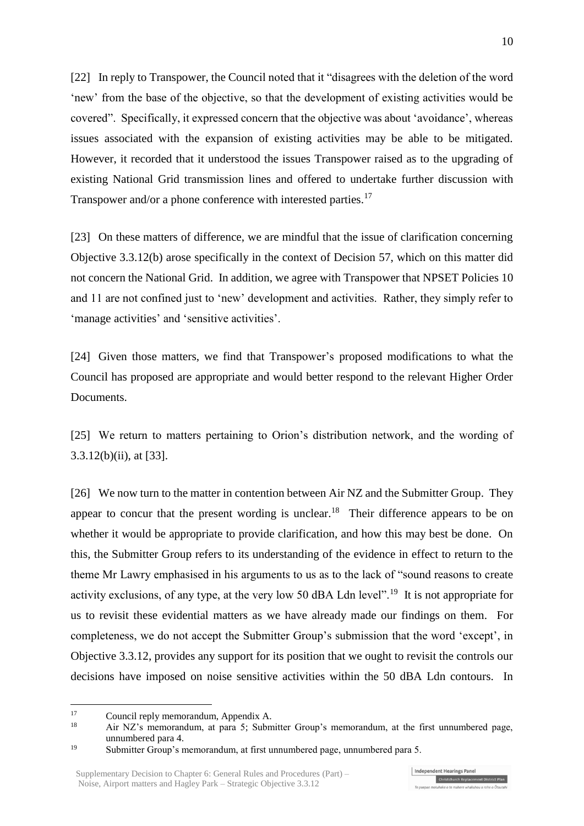[22] In reply to Transpower, the Council noted that it "disagrees with the deletion of the word 'new' from the base of the objective, so that the development of existing activities would be covered". Specifically, it expressed concern that the objective was about 'avoidance', whereas issues associated with the expansion of existing activities may be able to be mitigated. However, it recorded that it understood the issues Transpower raised as to the upgrading of existing National Grid transmission lines and offered to undertake further discussion with Transpower and/or a phone conference with interested parties.<sup>17</sup>

[23] On these matters of difference, we are mindful that the issue of clarification concerning Objective 3.3.12(b) arose specifically in the context of Decision 57, which on this matter did not concern the National Grid. In addition, we agree with Transpower that NPSET Policies 10 and 11 are not confined just to 'new' development and activities. Rather, they simply refer to 'manage activities' and 'sensitive activities'.

[24] Given those matters, we find that Transpower's proposed modifications to what the Council has proposed are appropriate and would better respond to the relevant Higher Order Documents.

[25] We return to matters pertaining to Orion's distribution network, and the wording of 3.3.12(b)(ii), at [33].

[26] We now turn to the matter in contention between Air NZ and the Submitter Group. They appear to concur that the present wording is unclear.<sup>18</sup> Their difference appears to be on whether it would be appropriate to provide clarification, and how this may best be done. On this, the Submitter Group refers to its understanding of the evidence in effect to return to the theme Mr Lawry emphasised in his arguments to us as to the lack of "sound reasons to create activity exclusions, of any type, at the very low 50 dBA Ldn level".<sup>19</sup> It is not appropriate for us to revisit these evidential matters as we have already made our findings on them. For completeness, we do not accept the Submitter Group's submission that the word 'except', in Objective 3.3.12, provides any support for its position that we ought to revisit the controls our decisions have imposed on noise sensitive activities within the 50 dBA Ldn contours. In

 $17$ <sup>17</sup> Council reply memorandum, Appendix A.

<sup>18</sup> Air NZ's memorandum, at para 5; Submitter Group's memorandum, at the first unnumbered page, unnumbered para 4.

<sup>19</sup> Submitter Group's memorandum, at first unnumbered page, unnumbered para 5.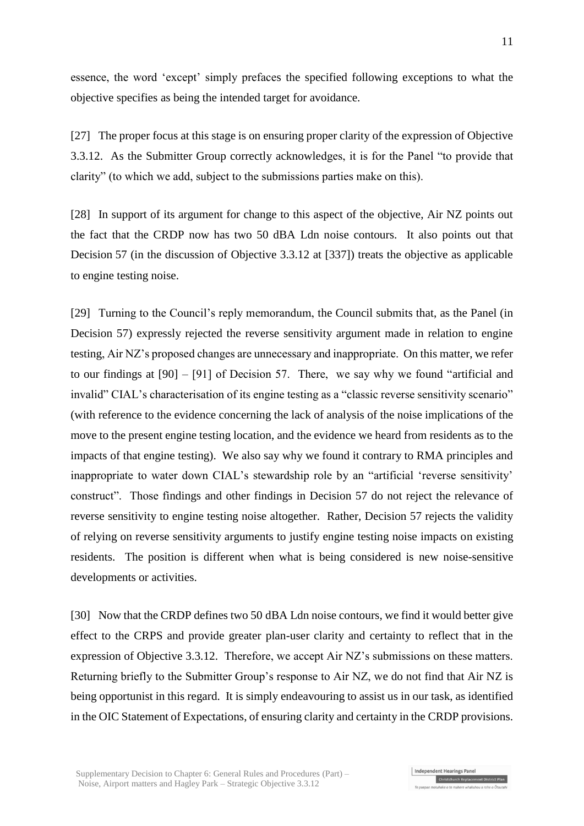essence, the word 'except' simply prefaces the specified following exceptions to what the objective specifies as being the intended target for avoidance.

[27] The proper focus at this stage is on ensuring proper clarity of the expression of Objective 3.3.12. As the Submitter Group correctly acknowledges, it is for the Panel "to provide that clarity" (to which we add, subject to the submissions parties make on this).

[28] In support of its argument for change to this aspect of the objective, Air NZ points out the fact that the CRDP now has two 50 dBA Ldn noise contours. It also points out that Decision 57 (in the discussion of Objective 3.3.12 at [337]) treats the objective as applicable to engine testing noise.

[29] Turning to the Council's reply memorandum, the Council submits that, as the Panel (in Decision 57) expressly rejected the reverse sensitivity argument made in relation to engine testing, Air NZ's proposed changes are unnecessary and inappropriate. On this matter, we refer to our findings at [90] – [91] of Decision 57. There, we say why we found "artificial and invalid" CIAL's characterisation of its engine testing as a "classic reverse sensitivity scenario" (with reference to the evidence concerning the lack of analysis of the noise implications of the move to the present engine testing location, and the evidence we heard from residents as to the impacts of that engine testing). We also say why we found it contrary to RMA principles and inappropriate to water down CIAL's stewardship role by an "artificial 'reverse sensitivity' construct". Those findings and other findings in Decision 57 do not reject the relevance of reverse sensitivity to engine testing noise altogether. Rather, Decision 57 rejects the validity of relying on reverse sensitivity arguments to justify engine testing noise impacts on existing residents. The position is different when what is being considered is new noise-sensitive developments or activities.

[30] Now that the CRDP defines two 50 dBA Ldn noise contours, we find it would better give effect to the CRPS and provide greater plan-user clarity and certainty to reflect that in the expression of Objective 3.3.12. Therefore, we accept Air NZ's submissions on these matters. Returning briefly to the Submitter Group's response to Air NZ, we do not find that Air NZ is being opportunist in this regard. It is simply endeavouring to assist us in our task, as identified in the OIC Statement of Expectations, of ensuring clarity and certainty in the CRDP provisions.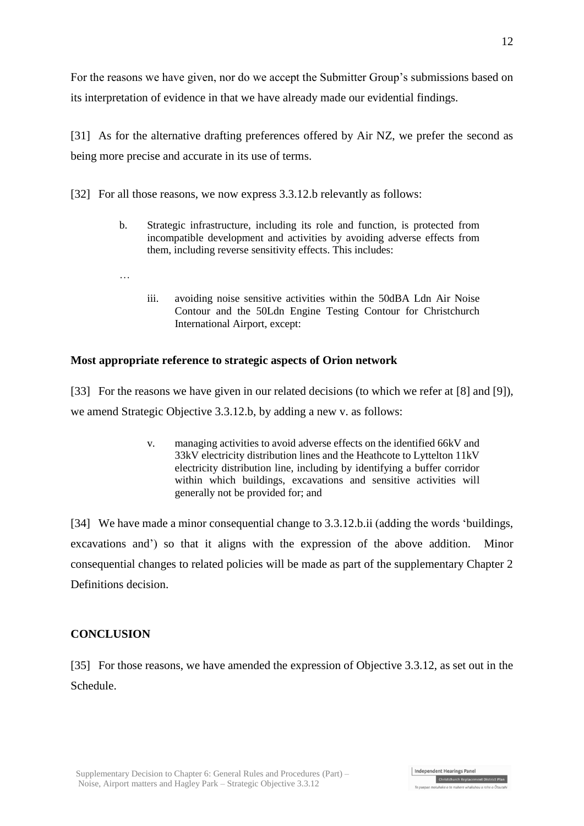For the reasons we have given, nor do we accept the Submitter Group's submissions based on its interpretation of evidence in that we have already made our evidential findings.

[31] As for the alternative drafting preferences offered by Air NZ, we prefer the second as being more precise and accurate in its use of terms.

[32] For all those reasons, we now express 3.3.12.b relevantly as follows:

- b. Strategic infrastructure, including its role and function, is protected from incompatible development and activities by avoiding adverse effects from them, including reverse sensitivity effects. This includes:
- …
- iii. avoiding noise sensitive activities within the 50dBA Ldn Air Noise Contour and the 50Ldn Engine Testing Contour for Christchurch International Airport, except:

# **Most appropriate reference to strategic aspects of Orion network**

[33] For the reasons we have given in our related decisions (to which we refer at [8] and [9]), we amend Strategic Objective 3.3.12.b, by adding a new v. as follows:

> v. managing activities to avoid adverse effects on the identified 66kV and 33kV electricity distribution lines and the Heathcote to Lyttelton 11kV electricity distribution line, including by identifying a buffer corridor within which buildings, excavations and sensitive activities will generally not be provided for; and

[34] We have made a minor consequential change to 3.3.12.b.ii (adding the words 'buildings, excavations and') so that it aligns with the expression of the above addition. Minor consequential changes to related policies will be made as part of the supplementary Chapter 2 Definitions decision.

# **CONCLUSION**

[35] For those reasons, we have amended the expression of Objective 3.3.12, as set out in the Schedule.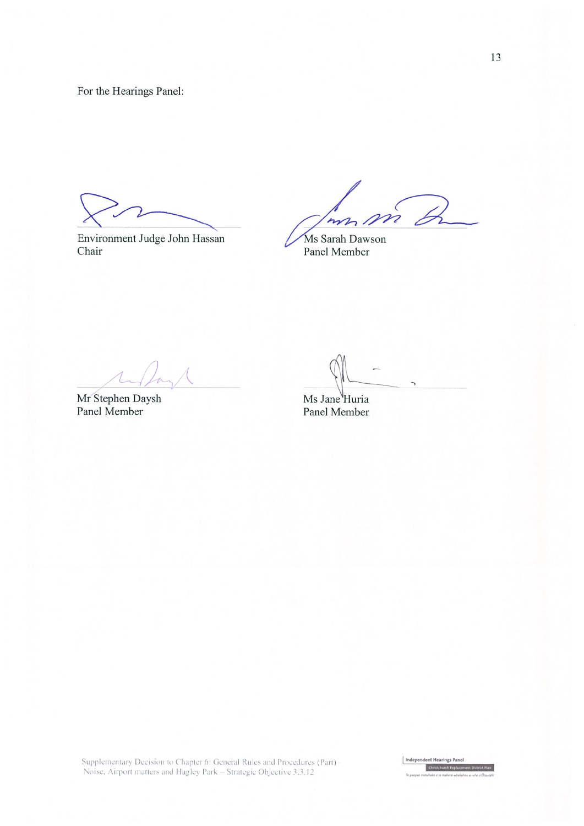For the Hearings Panel:

Environment Judge John Hassan Chair

m D mm,

Ms Sarah Dawson Panel Member

Mr Stephen Daysh<br>Panel Member

Ms Jane Huria Panel Member

Supplementary Decision to Chapter 6: General Rules and Procedures (Part)<br>Noise, Airport matters and Hagley Park – Strategic Objective 3.3.12

Independent Hearings Panel Christchurch Replac